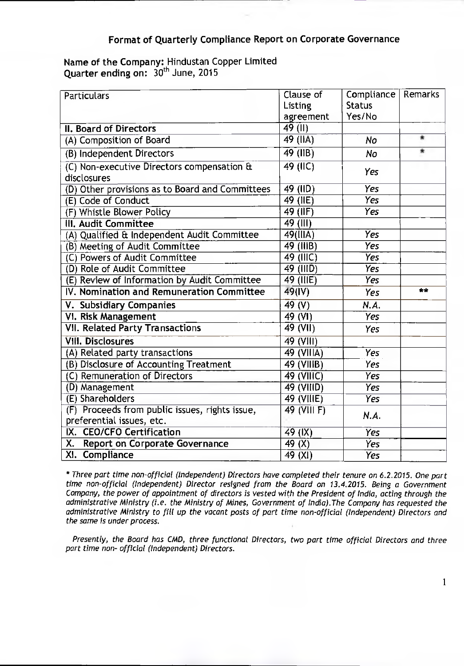## **Format of Quarterly Compliance Report on Corporate Governance**

## **Name of the Company:** Hindustan Copper Limited Quarter ending on:  $30<sup>th</sup>$  June, 2015

| Particulars                                                                 | Clause of<br>Listing   | Compliance<br><b>Status</b> | Remarks |
|-----------------------------------------------------------------------------|------------------------|-----------------------------|---------|
|                                                                             | agreement              | Yes/No                      |         |
| <b>II. Board of Directors</b>                                               | $\overline{49}$ (II)   |                             |         |
| (A) Composition of Board                                                    | 49 (IIA)               | No                          | 鸾       |
| (B) Independent Directors                                                   | 49 (IIB)               | No                          | 责.      |
| (C) Non-executive Directors compensation &<br>disclosures                   | 49 (IIC)               | Yes                         |         |
| (D) Other provisions as to Board and Committees                             | 49 (IID)               | Yes                         |         |
| (E) Code of Conduct                                                         | $49$ (IIE)             | Yes                         |         |
| (F) Whistle Blower Policy                                                   | 49 (IIF)               | Yes                         |         |
| III. Audit Committee                                                        | 49 (III)               |                             |         |
| (A) Qualified & Independent Audit Committee                                 | $\overline{49}$ (IIIA) | <b>Yes</b>                  |         |
| (B) Meeting of Audit Committee                                              | 49 (IIIB)              | <b>Yes</b>                  |         |
| (C) Powers of Audit Committee                                               | 49 (IIIC)              | Yes                         |         |
| (D) Role of Audit Committee                                                 | 49 (IIID)              | <b>Yes</b>                  |         |
| (E) Review of Information by Audit Committee                                | 49 (IIIE)              | <b>Yes</b>                  |         |
| IV. Nomination and Remuneration Committee                                   | 49(IV)                 | Yes                         | $**$    |
| V. Subsidiary Companies                                                     | 49 (V)                 | N.A.                        |         |
| VI. Risk Management                                                         | 49 (VI)                | <b>Yes</b>                  |         |
| <b>VII. Related Party Transactions</b>                                      | 49 (VII)               | Yes                         |         |
| <b>VIII. Disclosures</b>                                                    | $\overline{49}$ (VIII) |                             |         |
| (A) Related party transactions                                              | 49 (VIIIA)             | <b>Yes</b>                  |         |
| (B) Disclosure of Accounting Treatment                                      | 49 (VIIIB)             | Yes                         |         |
| (C) Remuneration of Directors                                               | 49 (VIIIC)             | Yes                         |         |
| (D) Management                                                              | 49 (VIIID)             | Yes                         |         |
| (E) Shareholders                                                            | 49 (VIIIE)             | <b>Yes</b>                  |         |
| (F) Proceeds from public issues, rights issue,<br>preferential issues, etc. | 49 (VIII F)            | N.A.                        |         |
| IX. CEO/CFO Certification                                                   | $49$ (IX)              | <b>Yes</b>                  |         |
| Х.<br><b>Report on Corporate Governance</b>                                 | 49 $(X)$               | <b>Yes</b>                  |         |
| XI. Compliance                                                              | 49 (XI)                | <b>Yes</b>                  |         |

\* Three part time non-official (Independent) Directors have completed their tenure on 6.2.2015. One part time non-official (Independent) Director resigned from the Board on 13.4.2015. Being a Government Company, the power of appointment of directors is vested with the President of India, acting through the administrative Ministry (i.e. the Ministry of Mines, Government of India).The Company has requested the administrative Ministry to fill up the vacant posts of part time non-official (Independent) Directors and the same is under process.

Presently, the Board has CMD, three functional Directors, two part time official Directors and three part time non- official (Independent) Directors.